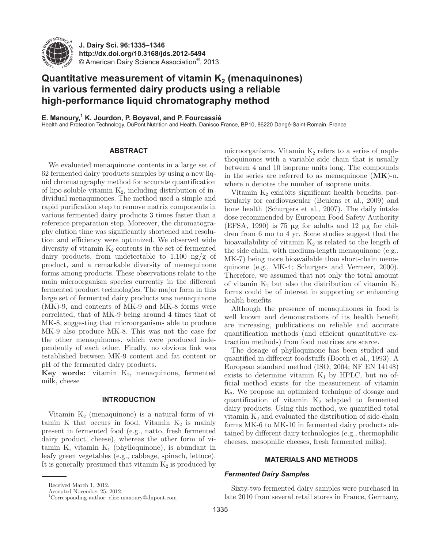

**J. Dairy Sci. 96 :1335–1346 http://dx.doi.org/ 10.3168/jds.2012-5494**  © American Dairy Science Association®, 2013 .

# **Quantitative measurement of vitamin K<sub>2</sub> (menaquinones) in various fermented dairy products using a reliable high-performance liquid chromatography method**

**E. Manoury,1 K. Jourdon, P. Boyaval, and P. Fourcassié**

Health and Protection Technology, DuPont Nutrition and Health, Danisco France, BP10, 86220 Dangé-Saint-Romain, France

# **ABSTRACT**

 We evaluated menaquinone contents in a large set of 62 fermented dairy products samples by using a new liquid chromatography method for accurate quantification of lipo-soluble vitamin  $K_2$ , including distribution of individual menaquinones. The method used a simple and rapid purification step to remove matrix components in various fermented dairy products 3 times faster than a reference preparation step. Moreover, the chromatography elution time was significantly shortened and resolution and efficiency were optimized. We observed wide diversity of vitamin  $K_2$  contents in the set of fermented dairy products, from undetectable to 1,100 ng/g of product, and a remarkable diversity of menaquinone forms among products. These observations relate to the main microorganism species currently in the different fermented product technologies. The major form in this large set of fermented dairy products was menaquinone (MK)-9, and contents of MK-9 and MK-8 forms were correlated, that of MK-9 being around 4 times that of MK-8, suggesting that microorganisms able to produce MK-9 also produce MK-8. This was not the case for the other menaquinones, which were produced independently of each other. Finally, no obvious link was established between MK-9 content and fat content or pH of the fermented dairy products.

**Key words:** vitamin  $K_2$ , menaquinone, fermented milk, cheese

# **INTRODUCTION**

Vitamin  $K_2$  (menaquinone) is a natural form of vitamin K that occurs in food. Vitamin  $K_2$  is mainly present in fermented food (e.g., natto, fresh fermented dairy product, cheese), whereas the other form of vitamin K, vitamin  $K_1$  (phylloquinone), is abundant in leafy green vegetables (e.g., cabbage, spinach, lettuce). It is generally presumed that vitamin  $K_2$  is produced by

Accepted November 25, 2012.

microorganisms. Vitamin  $K_2$  refers to a series of naphthoquinones with a variable side chain that is usually between 4 and 10 isoprene units long. The compounds in the series are referred to as menaquinone (**MK**)-n, where n denotes the number of isoprene units.

Vitamin  $K_2$  exhibits significant health benefits, particularly for cardiovascular (Beulens et al., 2009) and bone health (Schurgers et al., 2007). The daily intake dose recommended by European Food Safety Authority (EFSA, 1990) is 75  $\mu$ g for adults and 12  $\mu$ g for children from 6 mo to 4 yr. Some studies suggest that the bioavailability of vitamin  $K_2$  is related to the length of the side chain, with medium-length menaquinone (e.g., MK-7) being more bioavailable than short-chain menaquinone (e.g., MK-4; Schurgers and Vermeer, 2000). Therefore, we assumed that not only the total amount of vitamin  $K_2$  but also the distribution of vitamin  $K_2$ forms could be of interest in supporting or enhancing health benefits.

Although the presence of menaquinones in food is well known and demonstrations of its health benefit are increasing, publications on reliable and accurate quantification methods (and efficient quantitative extraction methods) from food matrices are scarce.

The dosage of phylloquinone has been studied and quantified in different foodstuffs (Booth et al., 1993). A European standard method (ISO, 2004; NF EN 14148) exists to determine vitamin  $K_1$  by HPLC, but no official method exists for the measurement of vitamin K2. We propose an optimized technique of dosage and quantification of vitamin  $K_2$  adapted to fermented dairy products. Using this method, we quantified total vitamin  $K_2$  and evaluated the distribution of side-chain forms MK-6 to MK-10 in fermented dairy products obtained by different dairy technologies (e.g., thermophilic cheeses, mesophilic cheeses, fresh fermented milks).

## **MATERIALS AND METHODS**

#### *Fermented Dairy Samples*

Sixty-two fermented dairy samples were purchased in late 2010 from several retail stores in France, Germany,

Received March 1, 2012.

 <sup>1</sup> Corresponding author: elise.manoury@dupont.com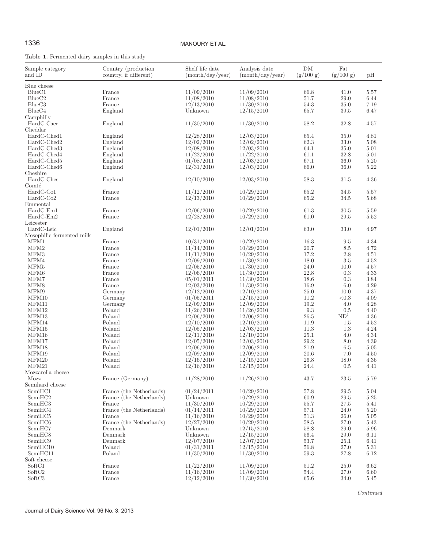# 1336 MANOURY ET AL.

# **Table 1.** Fermented dairy samples in this study

| Sample category<br>and ID | Country (production<br>country, if different) | Shelf life date<br>(month/day/year) | Analysis date<br>(month/day/year) | DM<br>(g/100 g) | Fat<br>(g/100 g) | pН   |
|---------------------------|-----------------------------------------------|-------------------------------------|-----------------------------------|-----------------|------------------|------|
| Blue cheese               |                                               |                                     |                                   |                 |                  |      |
| BlueC1                    | France                                        | 11/09/2010                          | 11/09/2010                        | 66.8            | 41.0             | 5.57 |
| BlueC <sub>2</sub>        | France                                        | 11/08/2010                          | 11/08/2010                        | 51.7            | 29.0             | 6.44 |
| BlueC <sub>3</sub>        | France                                        | 12/13/2010                          | 11/30/2010                        | $54.3\,$        | 35.0             | 7.19 |
| BlueC4                    | England                                       | Unknown                             | 12/15/2010                        | 65.7            | 39.5             | 6.47 |
| Caerphilly                |                                               |                                     |                                   |                 |                  |      |
| HardC-Caer                | England                                       | 11/30/2010                          | 11/30/2010                        | 58.2            | 32.8             | 4.57 |
| Cheddar                   |                                               |                                     |                                   |                 |                  |      |
| HardC-Ched1               | England                                       | 12/28/2010                          | 12/03/2010                        | 65.4            | 35.0             | 4.81 |
| HardC-Ched2               | England                                       | 12/02/2010                          | 12/02/2010                        | 62.3            | 33.0             | 5.08 |
| HardC-Ched3               | England                                       | 12/08/2010                          | 12/03/2010                        | 64.1            | 35.0             | 5.01 |
| HardC-Ched4               | England                                       | 11/22/2010                          | 11/22/2010                        | 61.1            | 32.8             | 5.01 |
| HardC-Ched5               | England                                       | 01/08/2011                          | 12/03/2010                        | 67.1            | 36.0             | 5.20 |
| HardC-Ched6               | England                                       | 12/31/2010                          | 12/03/2010                        | 66.0            | 36.0             | 5.22 |
| Cheshire                  |                                               |                                     |                                   |                 |                  |      |
| HardC-Ches                | England                                       | 12/10/2010                          | 12/03/2010                        | 58.3            | 31.5             | 4.36 |
| Comté                     |                                               |                                     |                                   |                 |                  |      |
| HardC-Co1                 | France                                        | 11/12/2010                          | 10/29/2010                        | 65.2            | 34.5             | 5.57 |
| $HardC-Co2$               | France                                        | 12/13/2010                          | 10/29/2010                        | 65.2            | 34.5             | 5.68 |
| Emmental                  |                                               |                                     |                                   |                 |                  |      |
| $HardC-Em1$               | France                                        | 12/06/2010                          | 10/29/2010                        | 61.3            | 30.5             | 5.59 |
| HardC-Em2                 | France                                        | 12/28/2010                          | 10/29/2010                        | 61.0            | 29.5             | 5.52 |
| Leicester                 |                                               |                                     |                                   |                 |                  |      |
| HardC-Leic                | England                                       | 12/01/2010                          | 12/01/2010                        | 63.0            | 33.0             | 4.97 |
| Mesophilic fermented milk |                                               |                                     |                                   |                 |                  |      |
| MFM1                      | France                                        | 10/31/2010                          | 10/29/2010                        | 16.3            | 9.5              | 4.34 |
| MFM2                      | France                                        | 11/14/2010                          | 10/29/2010                        | 20.7            | 8.5              | 4.72 |
| MFM3                      | France                                        | 11/11/2010                          | 10/29/2010                        | 17.2            | 2.8              | 4.51 |
| MFM4                      | France                                        | 12/09/2010                          | 11/30/2010                        | 18.0            | 3.5              | 4.52 |
| MFM5                      | France                                        | 12/05/2010                          | 11/30/2010                        | 24.0            | 10.0             | 4.57 |
| MFM6                      | France                                        | 12/06/2010                          | 11/30/2010                        | 22.8            | 0.3              | 4.33 |
| MFM7                      | France                                        | 05/01/2011                          | 11/30/2010                        | 18.6            | 0.3              | 3.84 |
| MFM8                      | France                                        | 12/03/2010                          | 11/30/2010                        | 16.9            | 6.0              | 4.29 |
| MFM9                      | Germany                                       | 12/12/2010                          | 12/10/2010                        | 25.0            | 10.0             | 4.37 |
| MFM10                     | Germany                                       | 01/05/2011                          | 12/15/2010                        | 11.2            | $<\!\!0.3$       | 4.09 |
| MFM11                     | Germany                                       | 12/09/2010                          | 12/09/2010                        | 19.2            | 4.0              | 4.28 |
| MFM12                     | Poland                                        | 11/26/2010                          | 11/26/2010                        | $9.3\,$         | 0.5              | 4.40 |
| MFM13                     | Poland                                        | 12/06/2010                          | 12/06/2010                        | 26.5            | ND <sup>1</sup>  | 4.36 |
| MFM14                     | Poland                                        | 12/10/2010                          | 12/10/2010                        | 11.9            | 1.5              | 4.52 |
| MFM15                     | Poland                                        | 12/05/2010                          | 12/03/2010                        | 11.3            | 1.3              | 4.24 |
| MFM16                     | Poland                                        | 12/11/2010                          | 12/10/2010                        | 25.1            | 4.0              | 4.34 |
| MFM17                     | Poland                                        | 12/05/2010                          | 12/03/2010                        | 29.2            | 8.0              | 4.39 |
| MFM18                     | Poland                                        | 12/06/2010                          | 12/06/2010                        | 21.9            | 6.5              | 5.05 |
| MFM19                     | Poland                                        | 12/09/2010                          | 12/09/2010                        | $20.6\,$        | 7.0              | 4.50 |
| MFM20                     | Poland                                        | 12/16/2010                          | 12/15/2010                        | 26.8            | 18.0             | 4.36 |
| MFM21                     | Poland                                        | 12/16/2010                          | 12/15/2010                        | 24.4            | 0.5              | 4.41 |
| Mozzarella cheese         |                                               |                                     |                                   |                 |                  |      |
| Mozz                      | France (Germany)                              | 11/28/2010                          | 11/26/2010                        | 43.7            | $23.5\,$         | 5.79 |
| Semihard cheese           |                                               |                                     |                                   |                 |                  |      |
| SemiHC1                   | France (the Netherlands)                      | 01/24/2011                          | 10/29/2010                        | 57.8            | 29.5             | 5.04 |
| SemiHC <sub>2</sub>       | France (the Netherlands)                      | Unknown                             | 10/29/2010                        | 60.9            | 29.5             | 5.25 |
| SemiHC3                   | France                                        | 11/30/2010                          | 10/29/2010                        | 55.7            | 27.5             | 5.41 |
| SemiHC4                   | France (the Netherlands)                      | 01/14/2011                          | 10/29/2010                        | 57.1            | 24.0             | 5.20 |
| SemiHC <sub>5</sub>       | France                                        | 11/16/2010                          | 10/29/2010                        | 51.3            | 26.0             | 5.05 |
| SemiHC <sub>6</sub>       | France (the Netherlands)                      | 12/27/2010                          | 10/29/2010                        | 58.5            | 27.0             | 5.43 |
| SemiHC7                   | Denmark                                       | Unknown                             | 12/15/2010                        | 58.8            | 29.0             | 5.96 |
| SemiHC <sub>8</sub>       | Denmark                                       | Unknown                             | 12/15/2010                        | 56.4            | 29.0             | 6.11 |
| SemiHC9                   | Denmark                                       | 12/07/2010                          | 12/07/2010                        | 53.7            | 25.1             | 6.41 |
| SemiHC10                  | Poland                                        | 01/31/2011                          | 12/15/2010                        | 56.8            | 27.0             | 5.31 |
| SemiHC11                  | Poland                                        | 11/30/2010                          | 11/30/2010                        | 59.3            | 27.8             | 6.12 |
| Soft cheese               |                                               |                                     |                                   |                 |                  |      |
| SoftC1                    | France                                        | 11/22/2010                          | 11/09/2010                        | 51.2            | 25.0             | 6.62 |
| SoftC2                    | France                                        | 11/16/2010                          | 11/09/2010                        | 54.4            | $27.0\,$         | 6.60 |
| SoftC3                    | France                                        | 12/12/2010                          | 11/30/2010                        | 65.6            | 34.0             | 5.45 |

*Continued*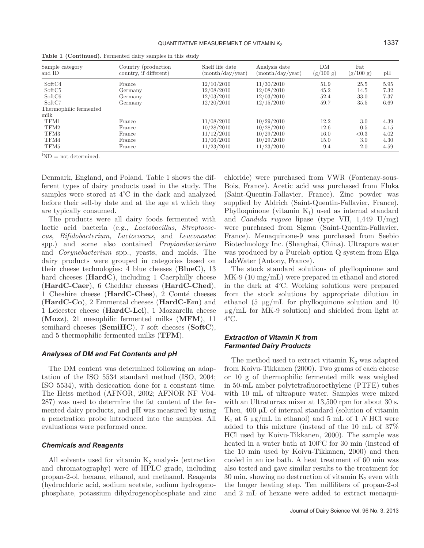| Sample category<br>and ID                | Country (production)<br>country, if different) | Shelf life date<br>(month/day/year) | Analysis date<br>(month/day/year) | DM<br>(g/100 g) | Fat<br>(g/100 g) | pH           |
|------------------------------------------|------------------------------------------------|-------------------------------------|-----------------------------------|-----------------|------------------|--------------|
| SoftC4<br>SoftC <sub>5</sub>             | France<br>Germany                              | 12/10/2010<br>12/08/2010            | 11/30/2010<br>12/08/2010          | 51.9<br>45.2    | 25.5<br>14.5     | 5.95<br>7.32 |
| SoftC <sub>6</sub>                       | Germany                                        | 12/03/2010                          | 12/03/2010                        | 52.4            | 33.0             | 7.37         |
| SoftC7<br>Thermophilic fermented<br>milk | Germany                                        | 12/20/2010                          | 12/15/2010                        | 59.7            | 35.5             | 6.69         |
| TFM1                                     | France                                         | 11/08/2010                          | 10/29/2010                        | 12.2            | 3.0              | 4.39         |
| TFM2                                     | France                                         | 10/28/2010                          | 10/28/2010                        | 12.6            | 0.5              | 4.15         |
| TFM3                                     | France                                         | 11/12/2010                          | 10/29/2010                        | 16.0            | < 0.3            | 4.02         |
| TFM4                                     | France                                         | 11/06/2010                          | 10/29/2010                        | 15.0            | 3.0              | 4.30         |
| TFM5                                     | France                                         | 11/23/2010                          | 11/23/2010                        | 9.4             | 2.0              | 4.59         |

**Table 1 (Continued).** Fermented dairy samples in this study

 ${}^{1}ND =$  not determined.

Denmark, England, and Poland. Table 1 shows the different types of dairy products used in the study. The samples were stored at 4°C in the dark and analyzed before their sell-by date and at the age at which they are typically consumed.

The products were all dairy foods fermented with lactic acid bacteria (e.g., *Lactobacillus*, *Streptococcus*, *Bifidobacterium*, *Lactococcus*, and *Leuconostoc* spp.) and some also contained *Propionibacterium* and *Corynebacterium* spp., yeasts, and molds. The dairy products were grouped in categories based on their cheese technologies: 4 blue cheeses (**BlueC**), 13 hard cheeses (**HardC**), including 1 Caerphilly cheese (**HardC-Caer**), 6 Cheddar cheeses (**HardC-Ched**), 1 Cheshire cheese (**HardC-Ches**), 2 Comté cheeses (**HardC-Co**), 2 Emmental cheeses (**HardC-Em**) and 1 Leicester cheese (**HardC-Lei**), 1 Mozzarella cheese (**Mozz**), 21 mesophilic fermented milks (**MFM**), 11 semihard cheeses (**SemiHC**), 7 soft cheeses (**SoftC**), and 5 thermophilic fermented milks (**TFM**).

#### *Analyses of DM and Fat Contents and pH*

The DM content was determined following an adaptation of the ISO 5534 standard method (ISO, 2004; ISO 5534), with desiccation done for a constant time. The Heiss method (AFNOR, 2002; AFNOR NF V04- 287) was used to determine the fat content of the fermented dairy products, and pH was measured by using a penetration probe introduced into the samples. All evaluations were performed once.

#### *Chemicals and Reagents*

All solvents used for vitamin  $K_2$  analysis (extraction and chromatography) were of HPLC grade, including propan-2-ol, hexane, ethanol, and methanol. Reagents (hydrochloric acid, sodium acetate, sodium hydrogenophosphate, potassium dihydrogenophosphate and zinc chloride) were purchased from VWR (Fontenay-sous-Bois, France). Acetic acid was purchased from Fluka (Saint-Quentin-Fallavier, France). Zinc powder was supplied by Aldrich (Saint-Quentin-Fallavier, France). Phylloquinone (vitamin  $K_1$ ) used as internal standard and *Candida rugosa* lipase (type VII, 1,449 U/mg) were purchased from Sigma (Saint-Quentin-Fallavier, France). Menaquinone-9 was purchased from Seebio Biotechnology Inc. (Shanghai, China). Ultrapure water was produced by a Purelab option Q system from Elga LabWater (Antony, France).

The stock standard solutions of phylloquinone and MK-9 (10 mg/mL) were prepared in ethanol and stored in the dark at 4°C. Working solutions were prepared from the stock solutions by appropriate dilution in ethanol (5  $\mu$ g/mL for phylloquinone solution and 10  $\mu$ g/mL for MK-9 solution) and shielded from light at 4°C.

# *Extraction of Vitamin K from Fermented Dairy Products*

The method used to extract vitamin  $K_2$  was adapted from Koivu-Tikkanen (2000). Two grams of each cheese or 10 g of thermophilic fermented milk was weighed in 50-mL amber polytetrafluoroethylene (PTFE) tubes with 10 mL of ultrapure water. Samples were mixed with an Ultraturrax mixer at 13,500 rpm for about 30 s. Then, 400 μL of internal standard (solution of vitamin  $K_1$  at 5  $\mu$ g/mL in ethanol) and 5 mL of 1 *N* HCl were added to this mixture (instead of the 10 mL of 37% HCl used by Koivu-Tikkanen, 2000). The sample was heated in a water bath at 100°C for 30 min (instead of the 10 min used by Koivu-Tikkanen, 2000) and then cooled in an ice bath. A heat treatment of 60 min was also tested and gave similar results to the treatment for 30 min, showing no destruction of vitamin  $K_2$  even with the longer heating step. Ten milliliters of propan-2-ol and 2 mL of hexane were added to extract menaqui-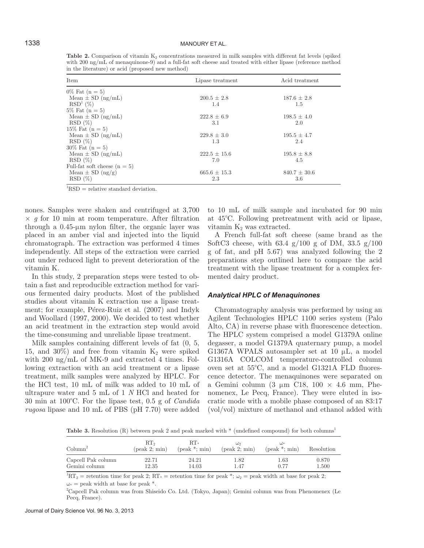**Table 2.** Comparison of vitamin  $K_2$  concentrations measured in milk samples with different fat levels (spiked with 200 ng/mL of menaquinone-9) and a full-fat soft cheese and treated with either lipase (reference method in the literature) or acid (proposed new method)

| Item                           | Lipase treatment | Acid treatment   |
|--------------------------------|------------------|------------------|
| $0\%$ Fat $(n = 5)$            |                  |                  |
| Mean $\pm$ SD (ng/mL)          | $200.5 \pm 2.8$  | $187.6 \pm 2.8$  |
| RSD <sup>1</sup> (%)           | 1.4              | 1.5              |
| $5\%$ Fat $(n = 5)$            |                  |                  |
| Mean $\pm$ SD (ng/mL)          | $222.8 \pm 6.9$  | $198.5 \pm 4.0$  |
| $RSD(\%)$                      | 3.1              | 2.0              |
| $15\%$ Fat $(n = 5)$           |                  |                  |
| Mean $\pm$ SD (ng/mL)          | $229.8 \pm 3.0$  | $195.5 \pm 4.7$  |
| $RSD(\%)$                      | 1.3              | 2.4              |
| $30\%$ Fat $(n = 5)$           |                  |                  |
| Mean $\pm$ SD (ng/mL)          | $222.5 \pm 15.6$ | $195.8 \pm 8.8$  |
| $RSD(\%)$                      | 7.0              | 4.5              |
| Full-fat soft cheese $(n = 5)$ |                  |                  |
| Mean $\pm$ SD (ng/g)           | $665.6 \pm 15.3$ | $840.7 \pm 30.6$ |
| $RSD(\%)$                      | 2.3              | 3.6              |

 ${}^{1}RSD$  = relative standard deviation.

nones. Samples were shaken and centrifuged at 3,700 × *g* for 10 min at room temperature. After filtration through a 0.45-μm nylon filter, the organic layer was placed in an amber vial and injected into the liquid chromatograph. The extraction was performed 4 times independently. All steps of the extraction were carried out under reduced light to prevent deterioration of the vitamin K.

In this study, 2 preparation steps were tested to obtain a fast and reproducible extraction method for various fermented dairy products. Most of the published studies about vitamin K extraction use a lipase treatment; for example, Pérez-Ruiz et al. (2007) and Indyk and Woollard (1997, 2000). We decided to test whether an acid treatment in the extraction step would avoid the time-consuming and unreliable lipase treatment.

Milk samples containing different levels of fat (0, 5, 15, and 30%) and free from vitamin  $K_2$  were spiked with 200 ng/mL of MK-9 and extracted 4 times. Following extraction with an acid treatment or a lipase treatment, milk samples were analyzed by HPLC. For the HCl test, 10 mL of milk was added to 10 mL of ultrapure water and 5 mL of 1 *N* HCl and heated for 30 min at 100°C. For the lipase test, 0.5 g of *Candida rugosa* lipase and 10 mL of PBS (pH 7.70) were added

to 10 mL of milk sample and incubated for 90 min at 45°C. Following pretreatment with acid or lipase, vitamin  $K_2$  was extracted.

A French full-fat soft cheese (same brand as the SoftC3 cheese, with  $63.4 \text{ g}/100 \text{ g}$  of DM,  $33.5 \text{ g}/100$ g of fat, and pH 5.67) was analyzed following the 2 preparations step outlined here to compare the acid treatment with the lipase treatment for a complex fermented dairy product.

#### *Analytical HPLC of Menaquinones*

Chromatography analysis was performed by using an Agilent Technologies HPLC 1100 series system (Palo Alto, CA) in reverse phase with fluorescence detection. The HPLC system comprised a model G1379A online degasser, a model G1379A quaternary pump, a model G1367A WPALS autosampler set at 10 μL, a model G1316A COLCOM temperature-controlled column oven set at 55°C, and a model G1321A FLD fluorescence detector. The menaquinones were separated on a Gemini column (3 μm C18, 100  $\times$  4.6 mm, Phenomenex, Le Pecq, France). They were eluted in isocratic mode with a mobile phase composed of an 83:17 (vol/vol) mixture of methanol and ethanol added with

**Table 3.** Resolution (R) between peak 2 and peak marked with \* (undefined compound) for both columns<sup>1</sup>

| Column <sup>2</sup> | RT <sub>2</sub><br>$(\text{peak } 2; \text{min})$ | $RT*$<br>$(\text{peak}^*; \text{min})$ | ധം<br>$(\text{peak } 2; \text{min})$ | $\omega_*$<br>$(\text{peak}^*; \text{min})$ | Resolution |
|---------------------|---------------------------------------------------|----------------------------------------|--------------------------------------|---------------------------------------------|------------|
| Capcell Pak column  | 22.71                                             | 24.21                                  | 1.82                                 | $1.63\,$                                    | 0.870      |
| Gemini column       | 12.35                                             | 14.03                                  | 1.47                                 | 0.77                                        | 1.500      |

 ${}^{1}RT_{2}$  = retention time for peak 2; RT<sub>\*</sub> = retention time for peak \*;  $\omega_{2}$  = peak width at base for peak 2;  $\omega* = \text{peak width at base for peak}$ .

2 Capcell Pak column was from Shiseido Co. Ltd. (Tokyo, Japan); Gemini column was from Phenomenex (Le Pecq, France).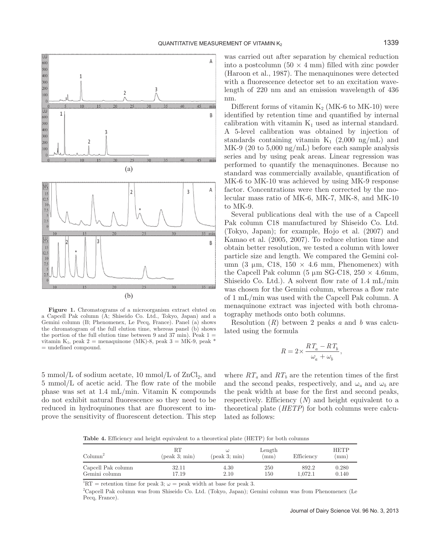

**Figure 1.** Chromatograms of a microorganism extract eluted on a Capcell Pak column (A; Shiseido Co. Ltd., Tokyo, Japan) and a Gemini column (B; Phenomenex, Le Pecq, France). Panel (a) shows the chromatogram of the full elution time, whereas panel (b) shows the portion of the full elution time between 9 and 37 min). Peak  $1 =$ vitamin K<sub>1</sub>, peak 2 = menaquinone (MK)-8, peak 3 = MK-9, peak  $*$ = undefined compound.

 $5$  mmol/L of sodium acetate,  $10$  mmol/L of  $\rm ZnCl_2,$  and 5 mmol/L of acetic acid. The flow rate of the mobile phase was set at 1.4 mL/min. Vitamin K compounds do not exhibit natural fluorescence so they need to be reduced in hydroquinones that are fluorescent to improve the sensitivity of fluorescent detection. This step was carried out after separation by chemical reduction into a postcolumn  $(50 \times 4 \text{ mm})$  filled with zinc powder (Haroon et al., 1987). The menaquinones were detected with a fluorescence detector set to an excitation wavelength of 220 nm and an emission wavelength of 436 nm.

Different forms of vitamin  $K_2$  (MK-6 to MK-10) were identified by retention time and quantified by internal calibration with vitamin  $K_1$  used as internal standard. A 5-level calibration was obtained by injection of standards containing vitamin  $K_1$  (2,000 ng/mL) and MK-9 (20 to 5,000 ng/mL) before each sample analysis series and by using peak areas. Linear regression was performed to quantify the menaquinones. Because no standard was commercially available, quantification of MK-6 to MK-10 was achieved by using MK-9 response factor. Concentrations were then corrected by the molecular mass ratio of MK-6, MK-7, MK-8, and MK-10 to MK-9.

Several publications deal with the use of a Capcell Pak column C18 manufactured by Shiseido Co. Ltd. (Tokyo, Japan); for example, Hojo et al. (2007) and Kamao et al. (2005, 2007). To reduce elution time and obtain better resolution, we tested a column with lower particle size and length. We compared the Gemini column (3 μm, C18,  $150 \times 4.6$  mm, Phenomenex) with the Capcell Pak column (5  $\mu$ m SG-C18, 250  $\times$  4.6mm, Shiseido Co. Ltd.). A solvent flow rate of 1.4 mL/min was chosen for the Gemini column, whereas a flow rate of 1 mL/min was used with the Capcell Pak column. A menaquinone extract was injected with both chromatography methods onto both columns.

Resolution (*R*) between 2 peaks *a* and *b* was calculated using the formula

$$
R=2\times\frac{R\,T_a-R\,T_b}{\omega_a+\omega_b},
$$

where  $RT_a$  and  $RT_b$  are the retention times of the first and the second peaks, respectively, and  $\omega_a$  and  $\omega_b$  are the peak width at base for the first and second peaks, respectively. Efficiency (*N*) and height equivalent to a theoretical plate (*HETP*) for both columns were calculated as follows:

**Table 4.** Efficiency and height equivalent to a theoretical plate (HETP) for both columns

| $\mathrm{Column}^2$ | RТ<br>$(\text{peak } 3; \text{min})$ | $(\text{peak } 3; \text{min})$ | Length<br>$\rm (mm)$ | Efficiency | <b>HETP</b><br>$\pm$ mm $)$ |
|---------------------|--------------------------------------|--------------------------------|----------------------|------------|-----------------------------|
| Capcell Pak column  | 32.11                                | 4.30                           | 250                  | 892.2      | 0.280                       |
| Gemini column       | 17.19                                | 2.10                           | 150                  | 1.072.1    | 0.140                       |

<sup>1</sup>RT = retention time for peak 3;  $\omega$  = peak width at base for peak 3.

2 Capcell Pak column was from Shiseido Co. Ltd. (Tokyo, Japan); Gemini column was from Phenomenex (Le Pecq, France).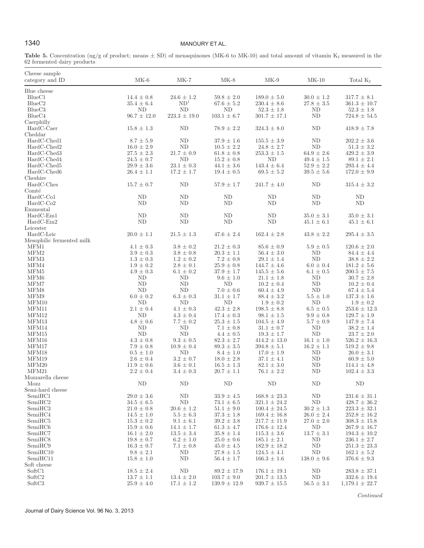# 1340 MANOURY ET AL.

**Table 5.** Concentration  $\left(\frac{ng}{g}\right)$  of product; means  $\pm$  SD) of menaquinones (MK-6 to MK-10) and total amount of vitamin K<sub>2</sub> measured in the 62 fermented dairy products

| Cheese sample<br>category and ID           | $MK-6$                               | $MK-7$                           | $MK-8$                             | $MK-9$                               | $MK-10$              | Total $K_2$                           |
|--------------------------------------------|--------------------------------------|----------------------------------|------------------------------------|--------------------------------------|----------------------|---------------------------------------|
| Blue cheese                                |                                      |                                  |                                    |                                      |                      |                                       |
| $BlueC1$                                   | $14.4 \pm 0.8$                       | $24.6 \pm 1.2$                   | $59.8 \pm 2.0$                     | $189.0 \pm 5.0$                      | $30.0 \pm 1.2$       | $317.7 \pm 8.1$                       |
| BlueC2                                     | $35.4 \pm 6.4$                       | ND <sup>1</sup>                  | $67.6\,\pm\,5.2$                   | $230.4 \pm 8.6$                      | $27.8\,\pm\,3.5$     | $361.3 \pm 10.7$                      |
| BlueC3                                     | ND                                   | ND                               | ND                                 | $52.3 \pm 1.8$                       | ND                   | $52.3 \pm 1.8$                        |
| BlueC4                                     | $96.7 \pm 12.0$                      | $223.3 \pm 19.0$                 | $103.1 \pm 6.7$                    | $301.7 \pm 17.1$                     | ND                   | $724.8 \pm 54.5$                      |
| Caerphilly                                 |                                      |                                  |                                    |                                      |                      |                                       |
| HardC-Caer                                 | $15.8 \pm 1.3$                       | N <sub>D</sub>                   | $78.9 \pm 2.2$                     | $324.3 \pm 8.0$                      | ND                   | $418.9 \pm 7.8$                       |
| Cheddar                                    |                                      |                                  |                                    |                                      |                      |                                       |
| HardC-Ched1                                | $8.7 \pm 5.9$                        | ND                               | $37.9 \pm 1.6$                     | $155.5 \pm 3.9$                      | ND                   | $202.2 \pm 3.6$                       |
| HardC-Ched2                                | $16.0\,\pm\,2.9$<br>$27.5\,\pm\,2.3$ | $\rm ND$<br>$21.7 \pm 0.9$       | $10.5 \pm 2.2$<br>$61.8 \pm 0.8$   | $24.8 \pm 2.7$<br>$253.3\,\pm\,1.5$  | ND<br>$64.9 \pm 2.6$ | $51.3$ $\pm$ $3.2$<br>$429.2 \pm 3.9$ |
| HardC-Ched3<br>HardC-Ched4                 | $24.5 \pm 0.7$                       | ND                               | $15.2 \pm 0.8$                     | ND                                   | $49.4 \pm 1.5$       | $89.1 \pm 2.1$                        |
| HardC-Ched5                                | $29.9\,\pm\,3.6$                     | $23.1 \pm 0.3$                   | $44.1 \pm 3.6$                     | $143.4 \pm 6.4$                      | $52.9 \pm 2.2$       | $293.4 \pm 4.4$                       |
| $\operatorname{HardC-Ched6}$               | $26.4 \pm 1.1$                       | $17.2 \pm 1.7$                   | $19.4 \pm 0.5$                     | $69.5 \pm 5.2$                       | $39.5 \pm 5.6$       | $172.0 \pm 9.9$                       |
| Cheshire                                   |                                      |                                  |                                    |                                      |                      |                                       |
| HardC-Ches                                 | $15.7 \pm 0.7$                       | ND                               | $57.9 \pm 1.7$                     | $241.7 \pm 4.0$                      | ND                   | $315.4 \pm 3.2$                       |
| Comté                                      |                                      |                                  |                                    |                                      |                      |                                       |
| HardC-Co1                                  | ND                                   | ND                               | ND                                 | ND                                   | ND                   | ND                                    |
| $HardC-Co2$                                | ND                                   | ND                               | ND                                 | ND                                   | ND                   | ND                                    |
| Emmental                                   |                                      |                                  |                                    |                                      |                      |                                       |
| $HardC-Em1$                                | ND                                   | ND                               | ND                                 | ND                                   | $35.0 \pm 3.1$       | $35.0 \pm 3.1$                        |
| $HardC-Em2$                                | ND                                   | N <sub>D</sub>                   | ND                                 | N <sub>D</sub>                       | $45.1 \pm 6.1$       | $45.1 \pm 6.1$                        |
| Leicester                                  |                                      |                                  |                                    |                                      |                      |                                       |
| HardC-Leic                                 | $20.0 \pm 1.1$                       | $21.5 \pm 1.3$                   | $47.6 \pm 2.4$                     | $162.4 \pm 2.8$                      | $43.8 \pm 2.2$       | $295.4 \pm 3.5$                       |
| Mesophilic fermented milk                  |                                      |                                  |                                    |                                      |                      |                                       |
| MFM1<br>MFM2                               | $4.1 \pm 0.3$<br>$3.9\,\pm\,0.3$     | $3.8 \pm 0.2$<br>$3.8\,\pm\,0.8$ | $21.2 \pm 0.3$<br>$20.3\,\pm\,1.1$ | $85.6 \pm 0.9$<br>$56.4 \pm 3.0$     | $5.9 \pm 0.5$<br>ND  | $120.6 \pm 2.0$<br>$84.4 \pm 4.4$     |
| MFM3                                       | $1.3 \pm 0.3$                        | $1.2 \pm 0.2$                    | $7.2 \pm 0.8$                      | $29.1 \pm 1.4$                       | ND                   | $38.8 \pm 2.2$                        |
| MFM4                                       | $1.9 \pm 0.2$                        | $2.8 \pm 0.1$                    | $25.9 \pm 0.8$                     | $144.7 \pm 4.6$                      | $6.0 \pm 0.4$        | $181.2 \pm 5.6$                       |
| MFM5                                       | $4.9 \pm 0.3$                        | $6.1 \pm 0.2$                    | $37.9 \pm 1.7$                     | $145.5 \pm 5.6$                      | $6.1 \pm 0.5$        | $200.5\,\pm\,7.5$                     |
| MFM6                                       | ND                                   | ND                               | $9.6\,\pm\,1.0$                    | $21.1 \pm 1.8$                       | ND                   | $30.7 \pm 2.8$                        |
| MFM7                                       | ND                                   | ND                               | ND                                 | $10.2 \pm 0.4$                       | ND                   | $10.2 \pm 0.4$                        |
| MFM8                                       | N <sub>D</sub>                       | <b>ND</b>                        | $7.0 \pm 0.6$                      | $60.4 \pm 4.9$                       | ND                   | $67.4 \pm 5.4$                        |
| MFM9                                       | $6.0 \pm 0.2$                        | $6.3\,\pm\,0.3$                  | $31.1 \pm 1.7$                     | $88.4 \pm 3.2$                       | $5.5 \pm 1.0$        | $137.3 \pm 1.6$                       |
| MFM10                                      | N <sub>D</sub>                       | <b>ND</b>                        | $\rm ND$                           | $1.9 \pm 0.2$                        | ND                   | $1.9 \pm 0.2$                         |
| MFM11                                      | $2.1 \pm 0.4$                        | $4.1 \pm 0.3$                    | $42.3 \pm 2.8$                     | $198.5 \pm 8.8$                      | $6.5 \pm 0.5$        | $253.6 \pm 12.3$                      |
| MFM12                                      | ND                                   | $4.3 \pm 0.4$                    | $17.4 \pm 0.3$                     | $98.1 \pm 1.5$                       | $9.9 \pm 0.8$        | $129.7 \pm 1.9$                       |
| MFM13                                      | $4.8 \pm 0.6$                        | $7.7 \pm 0.2$                    | $25.3$ $\pm$ $1.5$                 | $104.5 \pm 4.9$                      | $5.7 \pm 0.9$        | $147.9 \pm 7.4$                       |
| MFM14                                      | ND                                   | <b>ND</b>                        | $7.1 \pm 0.8$                      | $31.1\,\pm\,0.7$                     | ND                   | $38.2\,\pm\,1.4$                      |
| MFM15<br>MFM16                             | ND<br>$4.3 \pm 0.8$                  | ND<br>$9.3 \pm 0.5$              | $4.4 \pm 0.5$<br>$82.3 \pm 2.7$    | $19.3 \pm 1.7$<br>$414.2 \pm 13.0$   | ND<br>$16.1 \pm 1.0$ | $23.7 \pm 2.0$<br>$526.2 \pm 16.3$    |
| MFM17                                      | $7.9\,\pm\,0.8$                      | $10.9 \pm 0.4$                   | $89.3\,\pm\,3.5$                   | $394.8 \pm 5.1$                      | $16.2 \pm 1.1$       | $519.2 \pm 9.8$                       |
| MFM18                                      | $0.5\,\pm\,1.0$                      | N <sub>D</sub>                   | $8.4 \pm 1.0$                      | $17.0 \pm 1.9$                       | ND                   | $26.0 \pm 3.1$                        |
| MFM19                                      | $2.6 \pm 0.4$                        | $3.2 \pm 0.7$                    | $18.0 \pm 2.8$                     | $37.1 \pm 4.1$                       | ND                   | $60.9 \pm 5.0$                        |
| MFM20                                      | $11.9 \pm 0.6$                       | $3.6 \pm 0.1$                    | $16.5 \pm 1.3$                     | $82.1 \pm 3.0$                       | ND                   | $114.1 \pm 4.8$                       |
| MFM21                                      | $2.2\,\pm\,0.4$                      | $3.4 \pm 0.3$                    | $20.7 \pm 1.1$                     | $76.1 \pm 2.2$                       | ND                   | $102.4 \pm 3.3$                       |
| Mozzarella cheese                          |                                      |                                  |                                    |                                      |                      |                                       |
| Mozz                                       | ND                                   | ND                               | ND                                 | ND                                   | ND                   | ND                                    |
| Semi-hard cheese                           |                                      |                                  |                                    |                                      |                      |                                       |
| SemiHC1                                    | $29.0\,\pm\,3.6$                     | $\rm ND$                         | $33.9 \pm 4.5$                     | $168.8 \pm 23.3$                     | ND                   | $231.6 \pm 31.1$                      |
| SemiHC2                                    | $34.5 \pm 6.5$                       | ND                               | $73.1 \pm 6.5$                     | $321.1 \pm 24.2$                     | ND                   | $428.7 \pm 36.2$                      |
| SemiHC3                                    | $21.0 \pm 0.8$                       | $20.6 \pm 1.2$                   | $51.1 \pm 9.0$                     | $100.4 \pm 24.5$                     | $30.2 \pm 1.3$       | $223.3 \pm 32.1$                      |
| SemiHC4                                    | $14.5 \pm 1.0$                       | $5.5 \pm 6.3$                    | $37.3 \pm 1.8$                     | $169.4 \pm 16.8$                     | $26.0 \pm 2.4$       | $252.8 \pm 16.2$<br>$308.3 \pm 15.8$  |
| SemiHC <sub>5</sub><br>SemiHC <sub>6</sub> | $15.3 \pm 0.2$<br>$15.9 \pm 0.6$     | $9.1 \pm 6.1$<br>$14.1 \pm 1.7$  | $39.2 \pm 3.8$<br>$61.3 \pm 4.7$   | $217.7 \pm 11.9$<br>$176.6 \pm 12.4$ | $27.0 \pm 2.0$<br>ND | $267.9 \pm 16.7$                      |
| SemiHC7                                    | $16.1 \pm 2.0$                       | $13.5 \pm 3.4$                   | $35.8 \pm 1.4$                     | $115.3 \pm 3.6$                      | $13.7 \pm 3.1$       | $194.3 \pm 10.2$                      |
| SemiHC <sub>8</sub>                        | $19.8 \pm 0.7$                       | $6.2 \pm 1.0$                    | $25.0 \pm 0.6$                     | $185.1 \pm 2.1$                      | ND                   | $236.1 \pm 2.7$                       |
| SemiHC9                                    | $16.3 \pm 0.7$                       | $7.1 \pm 0.8$                    | $45.0 \pm 4.5$                     | $182.9 \pm 18.2$                     | ND                   | $251.3 \pm 23.3$                      |
| SemiHC10                                   | $9.8 \pm 2.1$                        | ND                               | $27.8 \pm 1.5$                     | $124.5 \pm 4.1$                      | ND                   | $162.1 \pm 5.2$                       |
| SemiHC11                                   | $15.8 \pm 1.0$                       | ND                               | $56.4 \pm 1.7$                     | $166.3 \pm 1.6$                      | $138.0 \pm 9.6$      | $376.6 \pm 9.3$                       |
| Soft cheese                                |                                      |                                  |                                    |                                      |                      |                                       |
| SoftC1                                     | $18.5 \pm 2.4$                       | ND                               | $89.2 \pm 17.9$                    | $176.1 \pm 19.1$                     | ND                   | $283.8 \pm 37.1$                      |
| SoftC <sub>2</sub>                         | $13.7 \pm 1.1$                       | $13.4 \pm 2.0$                   | $103.7 \pm 9.0$                    | $201.7 \pm 13.5$                     | ND                   | $332.6 \pm 19.4$                      |
| SoftC3                                     | $25.9 \pm 4.0$                       | $17.1 \pm 1.2$                   | $139.9 \pm 12.9$                   | $939.7 \pm 15.5$                     | $56.5 \pm 3.1$       | $1,179.1 \pm 22.7$                    |

*Continued*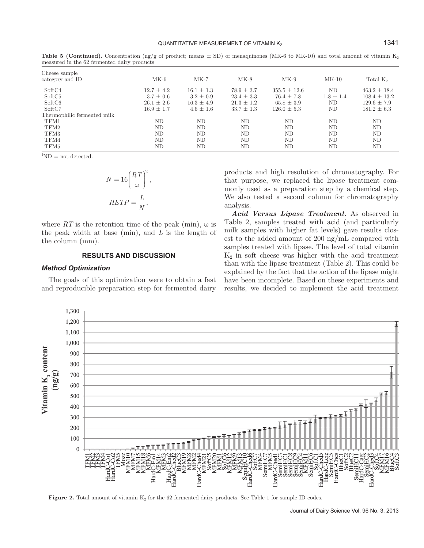| MK-6           | $MK-7$         | $MK-8$         | $MK-9$           | $MK-10$       | Total K <sub>2</sub> |
|----------------|----------------|----------------|------------------|---------------|----------------------|
| $12.7 \pm 4.2$ | $16.1 \pm 1.3$ | $78.9 \pm 3.7$ | $355.5 \pm 12.6$ | ND            | $463.2 + 18.4$       |
| $3.7 \pm 0.6$  | $3.2 \pm 0.9$  | $23.4 \pm 3.3$ | $76.4 \pm 7.8$   | $1.8 \pm 1.4$ | $108.4 \pm 13.2$     |
| $26.1 \pm 2.6$ | $16.3 \pm 4.9$ | $21.3 \pm 1.2$ | $65.8 \pm 3.9$   | ND            | $129.6 \pm 7.9$      |
| $16.9 \pm 1.7$ | $4.6 \pm 1.6$  | $33.7 \pm 1.3$ | $126.0 \pm 5.3$  | ND            | $181.2 \pm 6.3$      |
|                |                |                |                  |               |                      |
| ND             | ND             | ND             | ND               | ND            | ND                   |
| ND             | ND             | ND             | ND               | ND            | ND                   |
| ND             | ND             | ND             | ND               | ND            | ND                   |
| ND             | ND.            | ND             | ND               | ND            | ND                   |
| ND             | ΝD             | ND             | ND               | ΝD            | ND                   |
|                |                |                |                  |               |                      |

**Table 5 (Continued).** Concentration (ng/g of product; means  $\pm$  SD) of menaquinones (MK-6 to MK-10) and total amount of vitamin K<sub>2</sub> measured in the 62 fermented dairy products

 ${}^{1}\text{ND}$  = not detected.

$$
N = 16 \left(\frac{RT}{\omega}\right)^2,
$$
  
 
$$
HETP = \frac{L}{N},
$$

where  $RT$  is the retention time of the peak (min),  $\omega$  is the peak width at base (min), and *L* is the length of the column (mm).

# **RESULTS AND DISCUSSION**

#### *Method Optimization*

The goals of this optimization were to obtain a fast and reproducible preparation step for fermented dairy products and high resolution of chromatography. For that purpose, we replaced the lipase treatment commonly used as a preparation step by a chemical step. We also tested a second column for chromatography analysis.

*Acid Versus Lipase Treatment.* As observed in Table 2, samples treated with acid (and particularly milk samples with higher fat levels) gave results closest to the added amount of 200 ng/mL compared with samples treated with lipase. The level of total vitamin  $K<sub>2</sub>$  in soft cheese was higher with the acid treatment than with the lipase treatment (Table 2). This could be explained by the fact that the action of the lipase might have been incomplete. Based on these experiments and results, we decided to implement the acid treatment



**Figure 2.** Total amount of vitamin K<sub>2</sub> for the 62 fermented dairy products. See Table 1 for sample ID codes.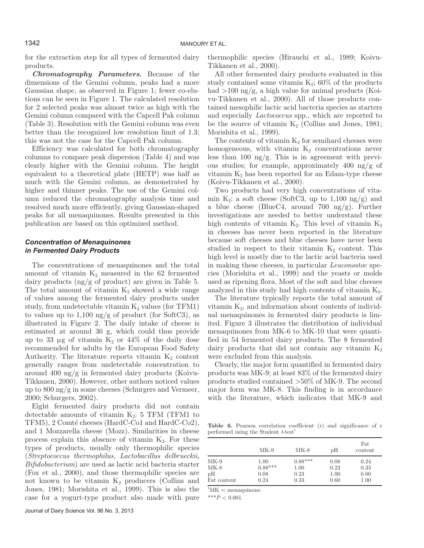for the extraction step for all types of fermented dairy products.

*Chromatography Parameters.* Because of the dimensions of the Gemini column, peaks had a more Gaussian shape, as observed in Figure 1; fewer co-elutions can be seen in Figure 1. The calculated resolution for 2 selected peaks was almost twice as high with the Gemini column compared with the Capcell Pak column (Table 3). Resolution with the Gemini column was even better than the recognized low resolution limit of 1.3; this was not the case for the Capcell Pak column.

Efficiency was calculated for both chromatography columns to compare peak dispersion (Table 4) and was clearly higher with the Gemini column. The height equivalent to a theoretical plate (HETP) was half as much with the Gemini column, as demonstrated by higher and thinner peaks. The use of the Gemini column reduced the chromatography analysis time and resolved much more efficiently, giving Gaussian-shaped peaks for all menaquinones. Results presented in this publication are based on this optimized method.

# *Concentration of Menaquinones in Fermented Dairy Products*

The concentrations of menaquinones and the total amount of vitamin  $K_2$  measured in the 62 fermented dairy products (ng/g of product) are given in Table 5. The total amount of vitamin  $K_2$  showed a wide range of values among the fermented dairy products under study, from undetectable vitamin  $K_2$  values (for TFM1) to values up to 1,100 ng/g of product (for SoftC3), as illustrated in Figure 2. The daily intake of cheese is estimated at around 30 g, which could thus provide up to 33 μg of vitamin  $K_2$  or 44% of the daily dose recommended for adults by the European Food Safety Authority. The literature reports vitamin  $K_2$  content generally ranges from undetectable concentration to around 400  $\frac{ng}{g}$  in fermented dairy products (Koivu-Tikkanen, 2000). However, other authors noticed values up to 800 ng/g in some cheeses (Schurgers and Vermeer, 2000; Schurgers, 2002).

Eight fermented dairy products did not contain detectable amounts of vitamin  $K_2$ : 5 TFM (TFM1 to TFM5), 2 Comté cheeses (HardC-Co1 and HardC-Co2), and 1 Mozzarella cheese (Mozz). Similarities in cheese process explain this absence of vitamin  $K<sub>2</sub>$ . For these types of products, usually only thermophilic species (*Streptococcus thermophilus*, *Lactobacillus delbrueckii*, *Bifidobacterium*) are used as lactic acid bacteria starter (Fox et al., 2000), and those thermophilic species are not known to be vitamin  $K_2$  producers (Collins and Jones, 1981; Morishita et al., 1999). This is also the case for a yogurt-type product also made with pure thermophilic species (Hirauchi et al., 1989; Koivu-Tikkanen et al., 2000).

All other fermented dairy products evaluated in this study contained some vitamin  $K_2$ ; 60% of the products had  $>100 \text{ ng/g}$ , a high value for animal products (Koivu-Tikkanen et al., 2000). All of those products contained mesophilic lactic acid bacteria species as starters and especially *Lactococcus* spp., which are reported to be the source of vitamin  $K_2$  (Collins and Jones, 1981; Morishita et al., 1999).

The contents of vitamin  $K_2$  for semihard cheeses were homogeneous, with vitamin  $K_2$  concentrations never less than 100 ng/g. This is in agreement with previous studies; for example, approximately 400 ng/g of vitamin  $K_2$  has been reported for an Edam-type cheese (Koivu-Tikkanen et al., 2000).

Two products had very high concentrations of vitamin K<sub>2</sub>: a soft cheese (SoftC3, up to 1,100 ng/g) and a blue cheese (BlueC4, around 700 ng/g). Further investigations are needed to better understand these high contents of vitamin  $K_2$ . This level of vitamin  $K_2$ in cheeses has never been reported in the literature because soft cheeses and blue cheeses have never been studied in respect to their vitamin  $K_2$  content. This high level is mostly due to the lactic acid bacteria used in making these cheeses, in particular *Leuconostoc* species (Morishita et al., 1999) and the yeasts or molds used as ripening flora. Most of the soft and blue cheeses analyzed in this study had high contents of vitamin  $K<sub>2</sub>$ .

The literature typically reports the total amount of vitamin  $K_2$ , and information about contents of individual menaquinones in fermented dairy products is limited. Figure 3 illustrates the distribution of individual menaquinones from MK-6 to MK-10 that were quantified in 54 fermented dairy products. The 8 fermented dairy products that did not contain any vitamin  $K_2$ were excluded from this analysis.

Clearly, the major form quantified in fermented dairy products was MK-9; at least 83% of the fermented dairy products studied contained >50% of MK-9. The second major form was MK-8. This finding is in accordance with the literature, which indicates that MK-9 and

Table 6. Pearson correlation coefficient (r) and significance of r performed using the Student  $t$ -test<sup>1</sup>

|             | $MK-9$    | $MK-8$    | pН   | Fat<br>content |
|-------------|-----------|-----------|------|----------------|
| $MK-9$      | 1.00      | $0.88***$ | 0.08 | 0.24           |
| MK-8        | $0.88***$ | 1.00      | 0.23 | 0.33           |
| pН          | 0.08      | 0.23      | 1.00 | 0.60           |
| Fat content | 0.24      | 0.33      | 0.60 | 1.00           |

 ${}^{1}_{1}$ MK = menaquinone.

\*\*\**P* < 0.001.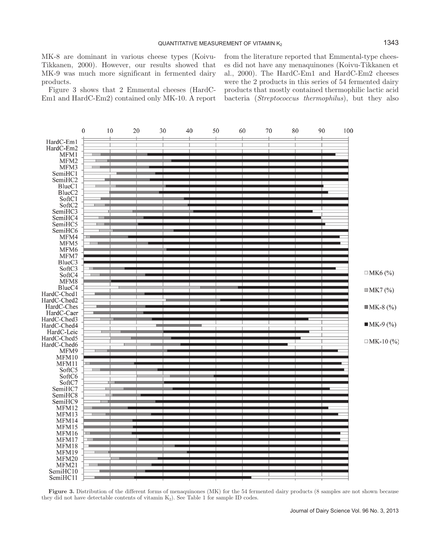MK-8 are dominant in various cheese types (Koivu-Tikkanen, 2000). However, our results showed that MK-9 was much more significant in fermented dairy products.

Figure 3 shows that 2 Emmental cheeses (HardC-Em1 and HardC-Em2) contained only MK-10. A report from the literature reported that Emmental-type cheeses did not have any menaquinones (Koivu-Tikkanen et al., 2000). The HardC-Em1 and HardC-Em2 cheeses were the 2 products in this series of 54 fermented dairy products that mostly contained thermophilic lactic acid bacteria (*Streptococcus thermophilus*), but they also



**Figure 3.** Distribution of the different forms of menaquinones (MK) for the 54 fermented dairy products (8 samples are not shown because they did not have detectable contents of vitamin  $K_2$ ). See Table 1 for sample ID codes.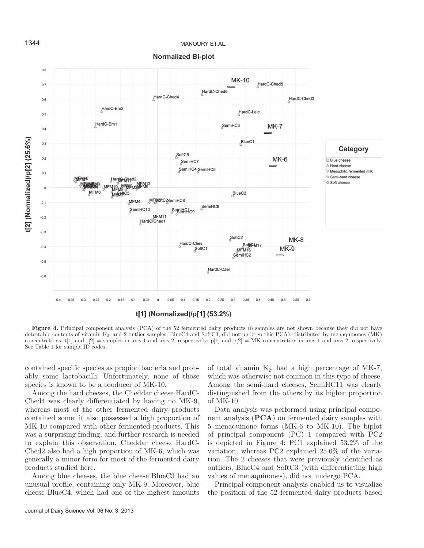

**Normalized Bi-plot** 

**Figure 4.** Principal component analysis (PCA) of the 52 fermented dairy products (8 samples are not shown because they did not have detectable contents of vitamin  $K_2$ , and 2 outlier samples, BlueC4 and SoftC3, did not undergo this PCA), distributed by menaquinones (MK) concentrations. t[1] and t[2] = samples in axis 1 and axis 2, respectively; p[1] and p[2] = MK concentration in axis 1 and axis 2, respectively. See Table 1 for sample ID codes.

contained specific species as propionibacteria and probably some lactobacilli. Unfortunately, none of those species is known to be a producer of MK-10.

Among the hard cheeses, the Cheddar cheese HardC-Ched4 was clearly differentiated by having no MK-9, whereas most of the other fermented dairy products contained some; it also possessed a high proportion of MK-10 compared with other fermented products. This was a surprising finding, and further research is needed to explain this observation. Cheddar cheese HardC-Ched2 also had a high proportion of MK-6, which was generally a minor form for most of the fermented dairy products studied here.

Among blue cheeses, the blue cheese BlueC3 had an unusual profile, containing only MK-9. Moreover, blue cheese BlueC4, which had one of the highest amounts of total vitamin  $K_2$ , had a high percentage of MK-7, which was otherwise not common in this type of cheese. Among the semi-hard cheeses, SemiHC11 was clearly distinguished from the others by its higher proportion of MK-10. Data analysis was performed using principal compo-

nent analysis (**PCA**) on fermented dairy samples with 5 menaquinone forms (MK-6 to MK-10). The biplot of principal component (PC) 1 compared with PC2 is depicted in Figure 4; PC1 explained 53.2% of the variation, whereas PC2 explained 25.6% of the variation. The 2 cheeses that were previously identified as outliers, BlueC4 and SoftC3 (with differentiating high values of menaquinones), did not undergo PCA.

Principal component analysis enabled us to visualize the position of the 52 fermented dairy products based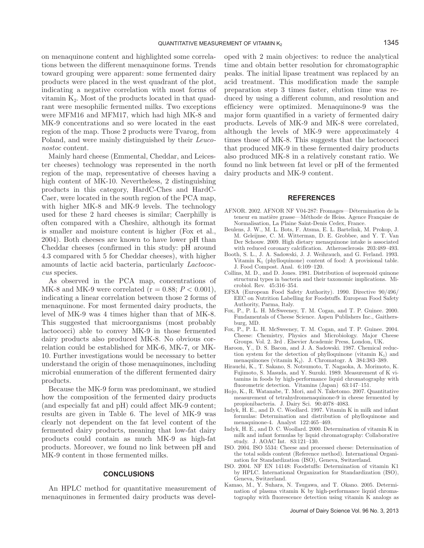on menaquinone content and highlighted some correlations between the different menaquinone forms. Trends toward grouping were apparent: some fermented dairy products were placed in the west quadrant of the plot, indicating a negative correlation with most forms of vitamin  $K<sub>2</sub>$ . Most of the products located in that quadrant were mesophilic fermented milks. Two exceptions were MFM16 and MFM17, which had high MK-8 and MK-9 concentrations and so were located in the east region of the map. Those 2 products were Tvarog, from Poland, and were mainly distinguished by their *Leuconostoc* content.

Mainly hard cheese (Emmental, Cheddar, and Leicester cheeses) technology was represented in the north region of the map, representative of cheeses having a high content of MK-10. Nevertheless, 2 distinguishing products in this category, HardC-Ches and HardC-Caer, were located in the south region of the PCA map, with higher MK-8 and MK-9 levels. The technology used for these 2 hard cheeses is similar; Caerphilly is often compared with a Cheshire, although its format is smaller and moisture content is higher (Fox et al., 2004). Both cheeses are known to have lower pH than Cheddar cheeses (confirmed in this study: pH around 4.3 compared with 5 for Cheddar cheeses), with higher amounts of lactic acid bacteria, particularly *Lactococcus* species.

As observed in the PCA map, concentrations of MK-8 and MK-9 were correlated ( $r = 0.88$ ;  $P < 0.001$ ), indicating a linear correlation between those 2 forms of menaquinone. For most fermented dairy products, the level of MK-9 was 4 times higher than that of MK-8. This suggested that microorganisms (most probably lactococci) able to convey MK-9 in those fermented dairy products also produced MK-8. No obvious correlation could be established for MK-6, MK-7, or MK-10. Further investigations would be necessary to better understand the origin of those menaquinones, including microbial enumeration of the different fermented dairy products.

Because the MK-9 form was predominant, we studied how the composition of the fermented dairy products (and especially fat and pH) could affect MK-9 content; results are given in Table 6. The level of MK-9 was clearly not dependent on the fat level content of the fermented dairy products, meaning that low-fat dairy products could contain as much MK-9 as high-fat products. Moreover, we found no link between pH and MK-9 content in those fermented milks.

### **CONCLUSIONS**

An HPLC method for quantitative measurement of menaquinones in fermented dairy products was developed with 2 main objectives: to reduce the analytical time and obtain better resolution for chromatographic peaks. The initial lipase treatment was replaced by an acid treatment. This modification made the sample preparation step 3 times faster, elution time was reduced by using a different column, and resolution and efficiency were optimized. Menaquinone-9 was the major form quantified in a variety of fermented dairy products. Levels of MK-9 and MK-8 were correlated, although the levels of MK-9 were approximately 4 times those of MK-8. This suggests that the lactococci that produced MK-9 in these fermented dairy products also produced MK-8 in a relatively constant ratio. We found no link between fat level or pH of the fermented dairy products and MK-9 content.

#### **REFERENCES**

- AFNOR. 2002. AFNOR NF V04-287: Fromages—Détermination de la teneur en matière grasse—Méthode de Heiss. Agence Française de Normalisation, La Plaine Saint-Denis Cedex, France.
- Beulens, J. W., M. L. Bots, F. Atsma, E. L. Bartelink, M. Prokop, J. M. Geleijnse, C. M. Witterman, D. E. Grobbee, and Y. T. Van Der Schouw. 2009. High dietary menaquinone intake is associated with reduced coronary calcification. Atherosclerosis 203:489–493.
- Booth, S. L., J. A. Sadowski, J. J. Weihrauch, and G. Ferland. 1993. Vitamin  $K_1$  (phylloquinone) content of food: A provisional table. J. Food Compost. Anal. 6:109–120.
- Collins, M. D., and D. Jones. 1981. Distribution of isoprenoid quinone structural types in bacteria and their taxonomic implications. Microbiol. Rev. 45:316–354.
- EFSA (European Food Safety Authority). 1990. Directive 90/496/ EEC on Nutrition Labelling for Foodstuffs. European Food Safety Authority, Parma, Italy.
- Fox, P., P. L. H. McSweeney, T. M. Cogan, and T. P. Guinee. 2000. Fundamentals of Cheese Science. Aspen Publishers Inc., Gaithersburg, MD.
- Fox, P., P. L. H. McSweeney, T. M. Cogan, and T. P. Guinee. 2004. Cheese: Chemistry, Physics and Microbiology. Major Cheese Groups. Vol. 2. 3rd . Elsevier Academic Press, London, UK.
- Haroon, Y., D. S. Bacon, and J. A. Sadowski. 1987. Chemical reduction system for the detection of phylloquinone (vitamin  $K_1$ ) and menaquinones (vitamin  $K_2$ ). J. Chromatogr. A 384:383-389.
- Hirauchi, K., T. Sakano, S. Notsumoto, T. Nagaoka, A. Morimoto, K. Fujimoto, S. Masuda, and Y. Suzuki. 1989. Measurement of K vitamins in foods by high-performance liquid chromatography with fluorometric detection. Vitamins (Japan) 63:147–151.
- Hojo, K., R. Watanabe, T. Mori, and N. Taketomo. 2007. Quantitative measurement of tetrahydromenaquinone-9 in cheese fermented by propionibacteria. J. Dairy Sci. 90:4078–4083.
- Indyk, H. E., and D. C. Woollard. 1997. Vitamin K in milk and infant formulas: Determination and distribution of phylloquinone and menaquinone-4. Analyst 122:465–469.
- Indyk, H. E., and D. C. Woollard. 2000. Determination of vitamin K in milk and infant formulas by liquid chromatography: Collaborative study. J. AOAC Int. 83:121–130.
- ISO. 2004. ISO 5534: Cheese and processed cheese: Determination of the total solids content (Reference method). International Organization for Standardization (ISO), Geneva, Switzerland.
- ISO. 2004. NF EN 14148: Foodstuffs: Determination of vitamin K1 by HPLC. International Organization for Standardization (ISO), Geneva, Switzerland.
- Kamao, M., Y. Suhara, N. Tsugawa, and T. Okano. 2005. Determination of plasma vitamin K by high-performance liquid chromatography with fluorescence detection using vitamin K analogs as